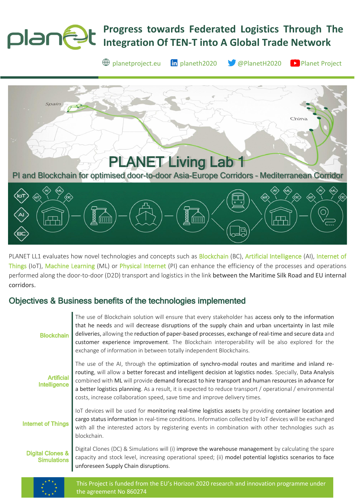## **Progress towards Federated Logistics Through The**  planet **Integration Of TEN-T into A Global Trade Network**

 $\bigoplus$  [planetproject.eu](https://www.planetproject.eu/) **in** [planeth2020](https://www.linkedin.com/company/planeth2020) **S** [@PlanetH2020](https://twitter.com/PlanetH2020) **P** [Planet Project](https://www.youtube.com/channel/UC5uIbN3KYkK_yx_tcnz8-wg)

Chir [PLANET Living Lab 1](https://www.planetproject.eu/demonstrator/pi-and-blockchain-for-optimised-door-to-door-asia-europe-corridors-mediterranean-corridor/)  [PI and Blockchain for optimised door-to-door Asia-Europe Corridors](https://www.planetproject.eu/demonstrator/pi-and-blockchain-for-optimised-door-to-door-asia-europe-corridors-mediterranean-corridor/) – Mediterranean Corridor

PLANET LL1 evaluates how novel technologies and concepts such as Blockchain (BC), Artificial Intelligence (AI), Internet of Things (IoT), Machine Learning (ML) or Physical Internet (PI) can enhance the efficiency of the processes and operations performed along the door-to-door (D2D) transport and logistics in the link between the Maritime Silk Road and EU internal corridors.

# Objectives & Business benefits of the technologies implemented

| <b>Blockchain</b>                                 | The use of Blockchain solution will ensure that every stakeholder has access only to the information<br>that he needs and will decrease disruptions of the supply chain and urban uncertainty in last mile<br>deliveries, allowing the reduction of paper-based processes, exchange of real-time and secure data and<br>customer experience improvement. The Blockchain interoperability will be also explored for the<br>exchange of information in between totally independent Blockchains.                    |
|---------------------------------------------------|------------------------------------------------------------------------------------------------------------------------------------------------------------------------------------------------------------------------------------------------------------------------------------------------------------------------------------------------------------------------------------------------------------------------------------------------------------------------------------------------------------------|
| <b>Artificial</b><br>Intelligence                 | The use of the AI, through the optimization of synchro-modal routes and maritime and inland re-<br>routing, will allow a better forecast and intelligent decision at logistics nodes. Specially, Data Analysis<br>combined with ML will provide demand forecast to hire transport and human resources in advance for<br>a better logistics planning. As a result, it is expected to reduce transport / operational / environmental<br>costs, increase collaboration speed, save time and improve delivery times. |
| <b>Internet of Things</b>                         | loT devices will be used for monitoring real-time logistics assets by providing container location and<br>cargo status information in real-time conditions. Information collected by IoT devices will be exchanged<br>with all the interested actors by registering events in combination with other technologies such as<br>blockchain.                                                                                                                                                                         |
| <b>Digital Clones &amp;</b><br><b>Simulations</b> | Digital Clones (DC) & Simulations will (i) improve the warehouse management by calculating the spare<br>capacity and stock level, increasing operational speed; (ii) model potential logistics scenarios to face<br>unforeseen Supply Chain disruptions.                                                                                                                                                                                                                                                         |
| ***                                               |                                                                                                                                                                                                                                                                                                                                                                                                                                                                                                                  |



This Project is funded from the EU's Horizon 2020 research and innovation programme under the agreement No 860274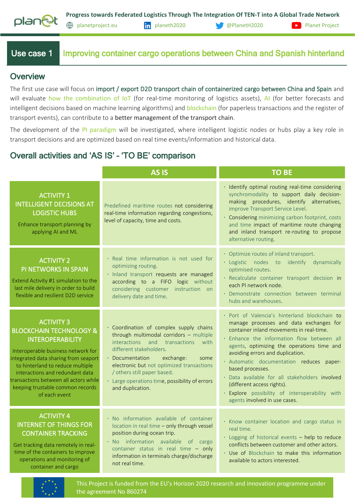

Use case 1 Improving container cargo operations between China and Spanish hinterland

#### **Overview**

The first use case will focus on import / export D2D transport chain of containerized cargo between China and Spain and will evaluate how the combination of IoT (for real-time monitoring of logistics assets), AI (for better forecasts and intelligent decisions based on machine learning algorithms) and blockchain (for paperless transactions and the register of transport events), can contribute to a better management of the transport chain.

The development of the PI paradigm will be investigated, where intelligent logistic nodes or hubs play a key role in transport decisions and are optimized based on real time events/information and historical data.

# Overall activities and 'AS IS' – 'TO BE' comparison

|                                                                                                                                                                                                                                                                                                                                       | <b>AS IS</b>                                                                                                                                                                                                                                                                                                                                     | <b>TO BE</b>                                                                                                                                                                                                                                                                                                                                                                                                                                                                                            |
|---------------------------------------------------------------------------------------------------------------------------------------------------------------------------------------------------------------------------------------------------------------------------------------------------------------------------------------|--------------------------------------------------------------------------------------------------------------------------------------------------------------------------------------------------------------------------------------------------------------------------------------------------------------------------------------------------|---------------------------------------------------------------------------------------------------------------------------------------------------------------------------------------------------------------------------------------------------------------------------------------------------------------------------------------------------------------------------------------------------------------------------------------------------------------------------------------------------------|
| <b>ACTIVITY 1</b><br><b>INTELLIGENT DECISIONS AT</b><br><b>LOGISTIC HUBS</b><br>Enhance transport planning by<br>applying AI and ML                                                                                                                                                                                                   | Predefined maritime routes not considering<br>real-time information regarding congestions,<br>level of capacity, time and costs.                                                                                                                                                                                                                 | · Identify optimal routing real-time considering<br>synchromodality to support daily decision-<br>making procedures, identify alternatives,<br>improve Transport Service Level.<br>• Considering minimizing carbon footprint, costs<br>and time impact of maritime route changing<br>and inland transport re-routing to propose<br>alternative routing.                                                                                                                                                 |
| <b>ACTIVITY 2</b><br>PI NETWORKS IN SPAIN<br>Extend Activity #1 simulation to the<br>last mile delivery in order to build<br>flexible and resilient D2D service                                                                                                                                                                       | · Real time information is not used for<br>optimizing routing.<br>· Inland transport requests are managed<br>according to a FIFO logic without<br>considering customer instruction on<br>delivery date and time.                                                                                                                                 | • Optimize routes of inland transport.<br>· Logistic nodes to identify dynamically<br>optimised routes.<br>· Recalculate container transport decision in<br>each PI network node.<br>· Demonstrate connection between terminal<br>hubs and warehouses.                                                                                                                                                                                                                                                  |
| <b>ACTIVITY 3</b><br><b>BLOCKCHAIN TECHNOLOGY &amp;</b><br><b>INTEROPERABILITY</b><br>Interoperable business network for<br>integrated data sharing from seaport<br>to hinterland to reduce multiple<br>interactions and redundant data<br>transactions between all actors while<br>keeping trustable common records<br>of each event | · Coordination of complex supply chains<br>through multimodal corridors - multiple<br>interactions and transactions<br>with<br>different stakeholders.<br>• Documentation<br>exchange:<br>some<br>electronic but not optimized transactions<br>/ others still paper based.<br>· Large operations time, possibility of errors<br>and duplication. | · Port of Valencia's hinterland blockchain to<br>manage processes and data exchanges for<br>container inland movements in real-time.<br>· Enhance the information flow between all<br>agents, optimizing the operations time and<br>avoiding errors and duplication.<br>· Automatic documentation reduces paper-<br>based processes.<br>· Data available for all stakeholders involved<br>(different access rights).<br>· Explore possibility of interoperability with<br>agents involved in use cases. |
| <b>ACTIVITY 4</b><br><b>INTERNET OF THINGS FOR</b><br><b>CONTAINER TRACKING</b><br>Get tracking data remotely in real-<br>time of the containers to improve<br>operations and monitoring of<br>container and cargo                                                                                                                    | · No information available of container<br>location in real time - only through vessel<br>position during ocean trip.<br>· No information available of cargo<br>container status in real time - only<br>information in terminals charge/discharge<br>not real time.                                                                              | · Know container location and cargo status in<br>real time.<br>· Logging of historical events - help to reduce<br>conflicts between customer and other actors.<br>. Use of Blockchain to make this information<br>available to actors interested.                                                                                                                                                                                                                                                       |



This Project is funded from the EU's Horizon 2020 research and innovation programme under the agreement No 860274